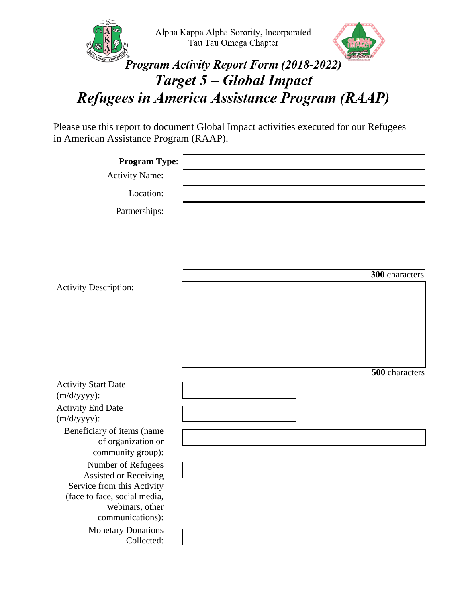



## Program Activity Report Form (2018-2022) Target 5 - Global Impact Refugees in America Assistance Program (RAAP)

Please use this report to document Global Impact activities executed for our Refugees in American Assistance Program (RAAP).

| <b>Program Type:</b>                                                      |                |
|---------------------------------------------------------------------------|----------------|
| <b>Activity Name:</b>                                                     |                |
| Location:                                                                 |                |
| Partnerships:                                                             |                |
|                                                                           | 300 characters |
| <b>Activity Description:</b>                                              |                |
|                                                                           | 500 characters |
| <b>Activity Start Date</b>                                                |                |
| $(m/d/yyyy)$ :<br><b>Activity End Date</b><br>$(m/d/yyyy)$ :              |                |
| Beneficiary of items (name<br>of organization or                          |                |
| community group):                                                         |                |
| Number of Refugees<br>Assisted or Receiving<br>Service from this Activity |                |
| (face to face, social media,<br>webinars, other<br>communications):       |                |
| <b>Monetary Donations</b><br>Collected:                                   |                |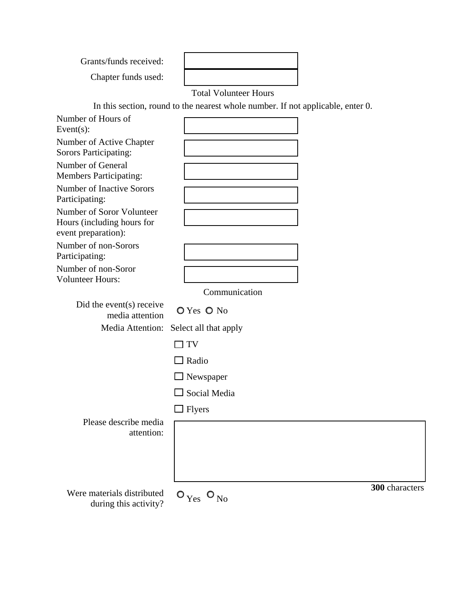Grants/funds received:

Chapter funds used:

Total Volunteer Hours

In this section, round to the nearest whole number. If not applicable, enter 0.

| Number of Hours of<br>Event $(s)$ :                                            |                                                                                            |                |
|--------------------------------------------------------------------------------|--------------------------------------------------------------------------------------------|----------------|
| Number of Active Chapter<br><b>Sorors Participating:</b>                       |                                                                                            |                |
| Number of General<br><b>Members Participating:</b>                             |                                                                                            |                |
| <b>Number of Inactive Sorors</b><br>Participating:                             |                                                                                            |                |
| Number of Soror Volunteer<br>Hours (including hours for<br>event preparation): |                                                                                            |                |
| Number of non-Sorors<br>Participating:                                         |                                                                                            |                |
| Number of non-Soror<br><b>Volunteer Hours:</b>                                 |                                                                                            |                |
|                                                                                | Communication                                                                              |                |
| Did the event(s) receive<br>media attention                                    | O Yes O No                                                                                 |                |
| Media Attention:                                                               | Select all that apply                                                                      |                |
|                                                                                | TV                                                                                         |                |
|                                                                                | $\Box$ Radio                                                                               |                |
|                                                                                | $\Box$ Newspaper                                                                           |                |
|                                                                                | $\Box$ Social Media                                                                        |                |
|                                                                                | $\Box$ Flyers                                                                              |                |
| Please describe media<br>attention:                                            |                                                                                            |                |
| Were materials distributed<br>during this activity?                            | $\mathsf{O}_{\mathop{\mathrm{Yes}}\nolimits}$ $\mathsf{O}_{\mathop{\mathrm{No}}\nolimits}$ | 300 characters |